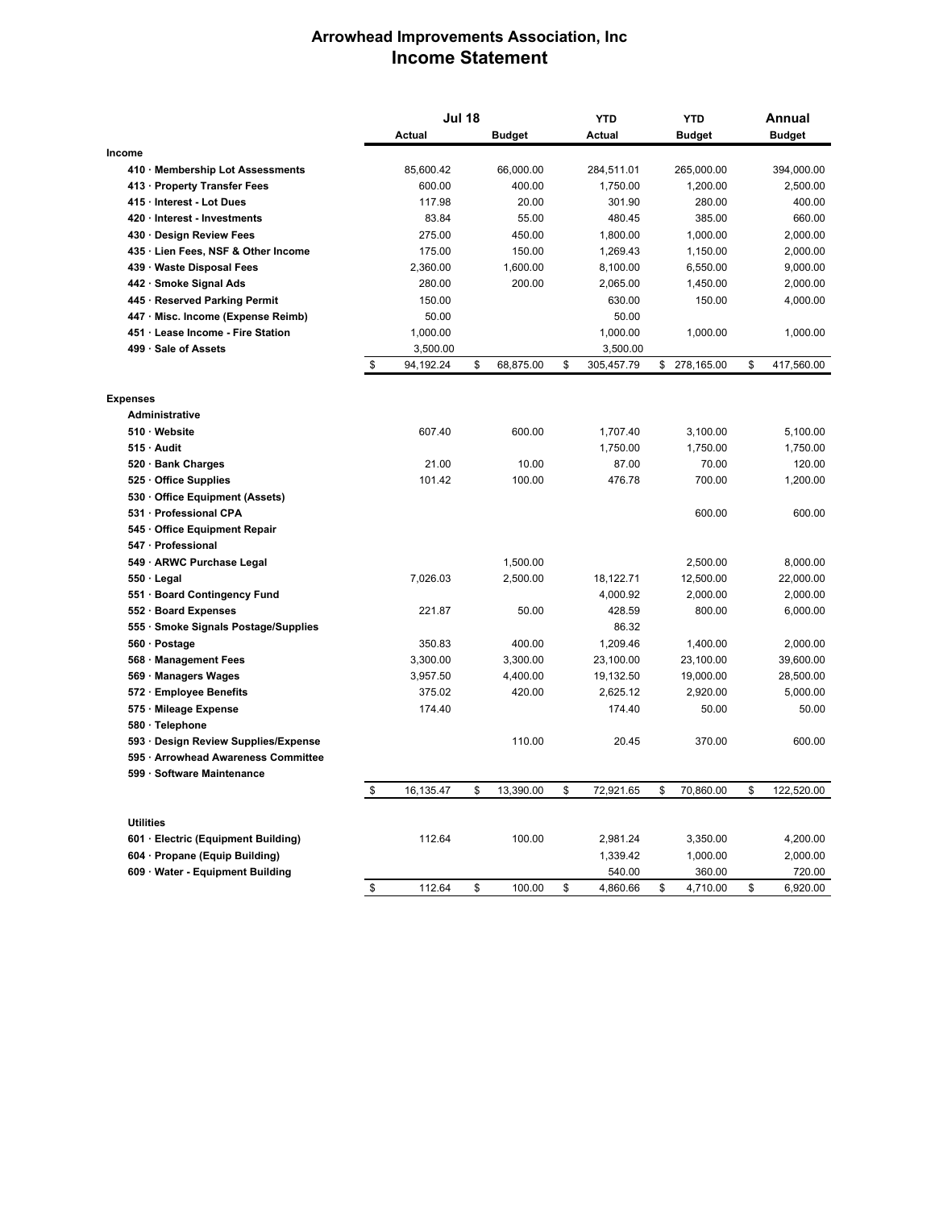## **Arrowhead Improvements Association, Inc Income Statement**

|                  |                                                         | <b>Jul 18</b>   |    |               | <b>YTD</b> |            | <b>YTD</b> |               | Annual |               |
|------------------|---------------------------------------------------------|-----------------|----|---------------|------------|------------|------------|---------------|--------|---------------|
|                  |                                                         | Actual          |    | <b>Budget</b> |            | Actual     |            | <b>Budget</b> |        | <b>Budget</b> |
| Income           |                                                         |                 |    |               |            |            |            |               |        |               |
|                  | 410 · Membership Lot Assessments                        | 85,600.42       |    | 66,000.00     |            | 284,511.01 |            | 265,000.00    |        | 394,000.00    |
|                  | 413 · Property Transfer Fees                            | 600.00          |    | 400.00        |            | 1,750.00   |            | 1,200.00      |        | 2,500.00      |
|                  | 415 · Interest - Lot Dues                               | 117.98          |    | 20.00         |            | 301.90     |            | 280.00        |        | 400.00        |
|                  | 420 · Interest - Investments                            | 83.84           |    | 55.00         |            | 480.45     |            | 385.00        |        | 660.00        |
|                  | 430 · Design Review Fees                                | 275.00          |    | 450.00        |            | 1,800.00   |            | 1,000.00      |        | 2,000.00      |
|                  | 435 · Lien Fees, NSF & Other Income                     | 175.00          |    | 150.00        |            | 1,269.43   |            | 1,150.00      |        | 2,000.00      |
|                  | 439 · Waste Disposal Fees                               | 2,360.00        |    | 1,600.00      |            | 8,100.00   |            | 6,550.00      |        | 9,000.00      |
|                  | 442 Smoke Signal Ads                                    | 280.00          |    | 200.00        |            | 2,065.00   |            | 1,450.00      |        | 2,000.00      |
|                  | 445 · Reserved Parking Permit                           | 150.00          |    |               |            | 630.00     |            | 150.00        |        | 4,000.00      |
|                  | 447 · Misc. Income (Expense Reimb)                      | 50.00           |    |               |            | 50.00      |            |               |        |               |
|                  | 451 Lease Income - Fire Station                         | 1,000.00        |    |               |            | 1,000.00   |            | 1,000.00      |        | 1,000.00      |
|                  | 499 · Sale of Assets                                    | 3,500.00        |    |               |            | 3,500.00   |            |               |        |               |
|                  |                                                         | \$<br>94,192.24 | \$ | 68,875.00     | \$         | 305,457.79 | \$         | 278,165.00    | \$     | 417,560.00    |
|                  |                                                         |                 |    |               |            |            |            |               |        |               |
| <b>Expenses</b>  | <b>Administrative</b>                                   |                 |    |               |            |            |            |               |        |               |
|                  | 510 Website                                             | 607.40          |    | 600.00        |            | 1,707.40   |            | 3,100.00      |        | 5,100.00      |
|                  | 515 · Audit                                             |                 |    |               |            | 1,750.00   |            | 1,750.00      |        | 1,750.00      |
|                  |                                                         | 21.00           |    | 10.00         |            | 87.00      |            | 70.00         |        | 120.00        |
|                  | 520 · Bank Charges<br>525 Office Supplies               | 101.42          |    | 100.00        |            | 476.78     |            | 700.00        |        | 1,200.00      |
|                  |                                                         |                 |    |               |            |            |            |               |        |               |
|                  | 530 Office Equipment (Assets)<br>531 · Professional CPA |                 |    |               |            |            |            | 600.00        |        | 600.00        |
|                  | 545 Office Equipment Repair                             |                 |    |               |            |            |            |               |        |               |
|                  | 547 · Professional                                      |                 |    |               |            |            |            |               |        |               |
|                  | 549 ARWC Purchase Legal                                 |                 |    | 1,500.00      |            |            |            | 2,500.00      |        | 8,000.00      |
|                  | 550 · Legal                                             | 7,026.03        |    | 2,500.00      |            | 18,122.71  |            | 12,500.00     |        | 22,000.00     |
|                  | 551 Board Contingency Fund                              |                 |    |               |            | 4,000.92   |            | 2,000.00      |        | 2,000.00      |
|                  | 552 · Board Expenses                                    | 221.87          |    | 50.00         |            | 428.59     |            | 800.00        |        | 6,000.00      |
|                  | 555 · Smoke Signals Postage/Supplies                    |                 |    |               |            | 86.32      |            |               |        |               |
|                  | 560 · Postage                                           | 350.83          |    | 400.00        |            | 1,209.46   |            | 1,400.00      |        | 2,000.00      |
|                  | 568 · Management Fees                                   | 3,300.00        |    | 3,300.00      |            | 23,100.00  |            | 23,100.00     |        | 39,600.00     |
|                  | 569 · Managers Wages                                    | 3,957.50        |    | 4,400.00      |            | 19,132.50  |            | 19,000.00     |        | 28,500.00     |
|                  | 572 · Employee Benefits                                 | 375.02          |    | 420.00        |            | 2,625.12   |            | 2,920.00      |        | 5,000.00      |
|                  | 575 · Mileage Expense                                   | 174.40          |    |               |            | 174.40     |            | 50.00         |        | 50.00         |
|                  | 580 · Telephone                                         |                 |    |               |            |            |            |               |        |               |
|                  | 593 Design Review Supplies/Expense                      |                 |    | 110.00        |            | 20.45      |            | 370.00        |        | 600.00        |
|                  | 595 · Arrowhead Awareness Committee                     |                 |    |               |            |            |            |               |        |               |
|                  | 599 · Software Maintenance                              |                 |    |               |            |            |            |               |        |               |
|                  |                                                         | \$<br>16,135.47 | \$ | 13,390.00     | \$         | 72,921.65  | \$         | 70,860.00     | \$     | 122,520.00    |
|                  |                                                         |                 |    |               |            |            |            |               |        |               |
| <b>Utilities</b> |                                                         |                 |    |               |            |            |            |               |        |               |
|                  | 601 · Electric (Equipment Building)                     | 112.64          |    | 100.00        |            | 2,981.24   |            | 3,350.00      |        | 4,200.00      |
|                  | 604 Propane (Equip Building)                            |                 |    |               |            | 1,339.42   |            | 1,000.00      |        | 2,000.00      |
|                  | 609 Water - Equipment Building                          |                 |    |               |            | 540.00     |            | 360.00        |        | 720.00        |
|                  |                                                         | \$<br>112.64    | \$ | 100.00        | \$         | 4,860.66   | \$         | 4,710.00      | \$     | 6,920.00      |